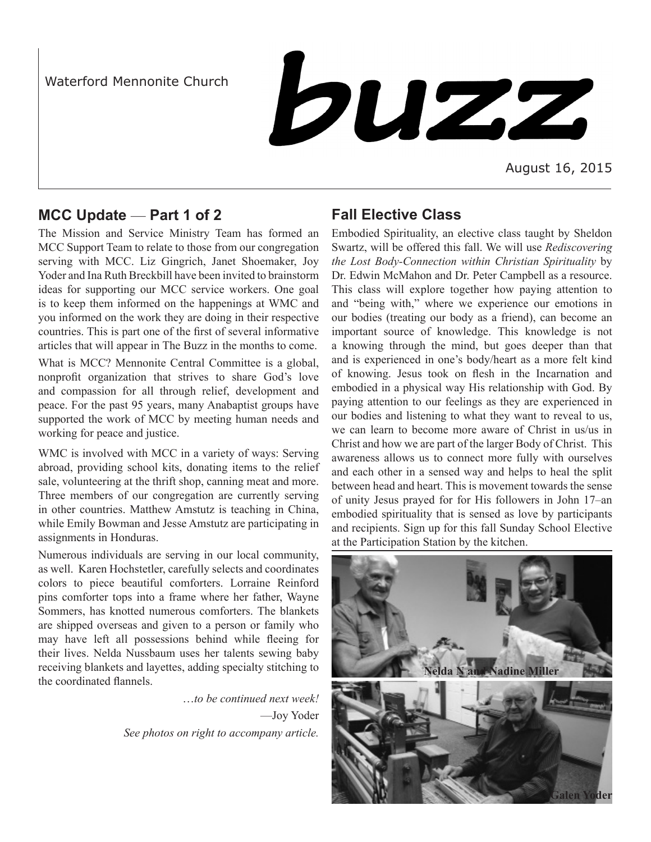Waterford Mennonite Church

buzz

August 16, 2015

# **MCC Update** — **Part 1 of 2**

The Mission and Service Ministry Team has formed an MCC Support Team to relate to those from our congregation serving with MCC. Liz Gingrich, Janet Shoemaker, Joy Yoder and Ina Ruth Breckbill have been invited to brainstorm ideas for supporting our MCC service workers. One goal is to keep them informed on the happenings at WMC and you informed on the work they are doing in their respective countries. This is part one of the first of several informative articles that will appear in The Buzz in the months to come.

What is MCC? Mennonite Central Committee is a global, nonprofit organization that strives to share God's love and compassion for all through relief, development and peace. For the past 95 years, many Anabaptist groups have supported the work of MCC by meeting human needs and working for peace and justice.

WMC is involved with MCC in a variety of ways: Serving abroad, providing school kits, donating items to the relief sale, volunteering at the thrift shop, canning meat and more. Three members of our congregation are currently serving in other countries. Matthew Amstutz is teaching in China, while Emily Bowman and Jesse Amstutz are participating in assignments in Honduras.

Numerous individuals are serving in our local community, as well. Karen Hochstetler, carefully selects and coordinates colors to piece beautiful comforters. Lorraine Reinford pins comforter tops into a frame where her father, Wayne Sommers, has knotted numerous comforters. The blankets are shipped overseas and given to a person or family who may have left all possessions behind while fleeing for their lives. Nelda Nussbaum uses her talents sewing baby receiving blankets and layettes, adding specialty stitching to the coordinated flannels.

> …*to be continued next week!* —Joy Yoder *See photos on right to accompany article.*

# **Fall Elective Class**

Embodied Spirituality, an elective class taught by Sheldon Swartz, will be offered this fall. We will use *Rediscovering the Lost Body-Connection within Christian Spirituality* by Dr. Edwin McMahon and Dr. Peter Campbell as a resource. This class will explore together how paying attention to and "being with," where we experience our emotions in our bodies (treating our body as a friend), can become an important source of knowledge. This knowledge is not a knowing through the mind, but goes deeper than that and is experienced in one's body/heart as a more felt kind of knowing. Jesus took on flesh in the Incarnation and embodied in a physical way His relationship with God. By paying attention to our feelings as they are experienced in our bodies and listening to what they want to reveal to us, we can learn to become more aware of Christ in us/us in Christ and how we are part of the larger Body of Christ. This awareness allows us to connect more fully with ourselves and each other in a sensed way and helps to heal the split between head and heart. This is movement towards the sense of unity Jesus prayed for for His followers in John 17–an embodied spirituality that is sensed as love by participants and recipients. Sign up for this fall Sunday School Elective at the Participation Station by the kitchen.



**Galen Yoder**